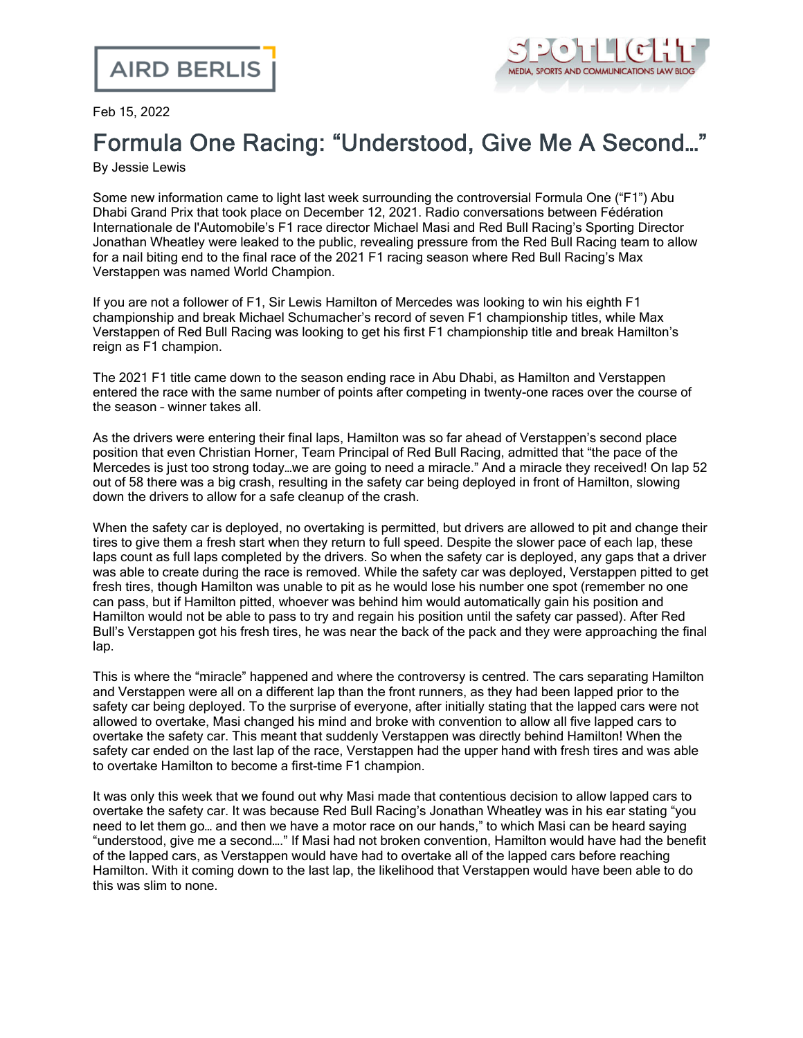

## Feb 15, 2022

## Formula One Racing: "Understood, Give Me A Second…"

By Jessie Lewis

Some new information came to light last week surrounding the controversial Formula One ("F1") Abu Dhabi Grand Prix that took place on December 12, 2021. Radio conversations between Fédération Internationale de l'Automobile's F1 race director Michael Masi and Red Bull Racing's Sporting Director Jonathan Wheatley were leaked to the public, revealing pressure from the Red Bull Racing team to allow for a nail biting end to the final race of the 2021 F1 racing season where Red Bull Racing's Max Verstappen was named World Champion.

If you are not a follower of F1, Sir Lewis Hamilton of Mercedes was looking to win his eighth F1 championship and break Michael Schumacher's record of seven F1 championship titles, while Max Verstappen of Red Bull Racing was looking to get his first F1 championship title and break Hamilton's reign as F1 champion.

The 2021 F1 title came down to the season ending race in Abu Dhabi, as Hamilton and Verstappen entered the race with the same number of points after competing in twenty-one races over the course of the season – winner takes all.

As the drivers were entering their final laps, Hamilton was so far ahead of Verstappen's second place position that even Christian Horner, Team Principal of Red Bull Racing, admitted that "the pace of the Mercedes is just too strong today...we are going to need a miracle." And a miracle they received! On lap 52 out of 58 there was a big crash, resulting in the safety car being deployed in front of Hamilton, slowing down the drivers to allow for a safe cleanup of the crash.

When the safety car is deployed, no overtaking is permitted, but drivers are allowed to pit and change their tires to give them a fresh start when they return to full speed. Despite the slower pace of each lap, these laps count as full laps completed by the drivers. So when the safety car is deployed, any gaps that a driver was able to create during the race is removed. While the safety car was deployed, Verstappen pitted to get fresh tires, though Hamilton was unable to pit as he would lose his number one spot (remember no one can pass, but if Hamilton pitted, whoever was behind him would automatically gain his position and Hamilton would not be able to pass to try and regain his position until the safety car passed). After Red Bull's Verstappen got his fresh tires, he was near the back of the pack and they were approaching the final lap.

This is where the "miracle" happened and where the controversy is centred. The cars separating Hamilton and Verstappen were all on a different lap than the front runners, as they had been lapped prior to the safety car being deployed. To the surprise of everyone, after initially stating that the lapped cars were not allowed to overtake, Masi changed his mind and broke with convention to allow all five lapped cars to overtake the safety car. This meant that suddenly Verstappen was directly behind Hamilton! When the safety car ended on the last lap of the race, Verstappen had the upper hand with fresh tires and was able to overtake Hamilton to become a first-time F1 champion.

It was only this week that we found out why Masi made that contentious decision to allow lapped cars to overtake the safety car. It was because Red Bull Racing's Jonathan Wheatley was in his ear stating "you need to let them go… and then we have a motor race on our hands," to which Masi can be heard saying "understood, give me a second…." If Masi had not broken convention, Hamilton would have had the benefit of the lapped cars, as Verstappen would have had to overtake all of the lapped cars before reaching Hamilton. With it coming down to the last lap, the likelihood that Verstappen would have been able to do this was slim to none.